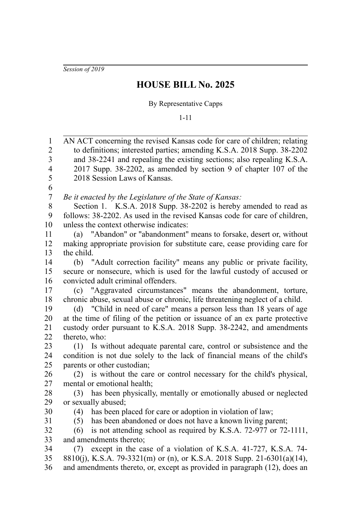*Session of 2019*

## **HOUSE BILL No. 2025**

## By Representative Capps

1-11

AN ACT concerning the revised Kansas code for care of children; relating to definitions; interested parties; amending K.S.A. 2018 Supp. 38-2202 and 38-2241 and repealing the existing sections; also repealing K.S.A. 2017 Supp. 38-2202, as amended by section 9 of chapter 107 of the 2018 Session Laws of Kansas. *Be it enacted by the Legislature of the State of Kansas:* Section 1. K.S.A. 2018 Supp. 38-2202 is hereby amended to read as follows: 38-2202. As used in the revised Kansas code for care of children, unless the context otherwise indicates: (a) "Abandon" or "abandonment" means to forsake, desert or, without making appropriate provision for substitute care, cease providing care for the child. (b) "Adult correction facility" means any public or private facility, secure or nonsecure, which is used for the lawful custody of accused or convicted adult criminal offenders. (c) "Aggravated circumstances" means the abandonment, torture, chronic abuse, sexual abuse or chronic, life threatening neglect of a child. (d) "Child in need of care" means a person less than 18 years of age at the time of filing of the petition or issuance of an ex parte protective custody order pursuant to K.S.A. 2018 Supp. 38-2242, and amendments thereto, who: (1) Is without adequate parental care, control or subsistence and the condition is not due solely to the lack of financial means of the child's parents or other custodian; (2) is without the care or control necessary for the child's physical, mental or emotional health; (3) has been physically, mentally or emotionally abused or neglected or sexually abused; (4) has been placed for care or adoption in violation of law; (5) has been abandoned or does not have a known living parent; (6) is not attending school as required by K.S.A. 72-977 or 72-1111, and amendments thereto; (7) except in the case of a violation of K.S.A. 41-727, K.S.A. 74- 8810(j), K.S.A. 79-3321(m) or (n), or K.S.A. 2018 Supp. 21-6301(a)(14), and amendments thereto, or, except as provided in paragraph (12), does an 1 2 3 4 5 6 7 8 9 10 11 12 13 14 15 16 17 18 19 20 21 22 23 24 25 26 27 28 29 30 31 32 33 34 35 36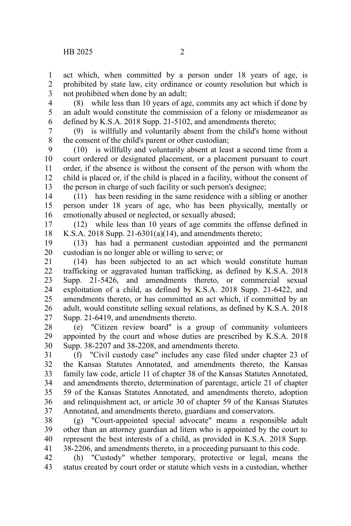act which, when committed by a person under 18 years of age, is prohibited by state law, city ordinance or county resolution but which is not prohibited when done by an adult; 1 2 3

(8) while less than 10 years of age, commits any act which if done by an adult would constitute the commission of a felony or misdemeanor as defined by K.S.A. 2018 Supp. 21-5102, and amendments thereto; 4 5 6

(9) is willfully and voluntarily absent from the child's home without the consent of the child's parent or other custodian; 7 8

(10) is willfully and voluntarily absent at least a second time from a court ordered or designated placement, or a placement pursuant to court order, if the absence is without the consent of the person with whom the child is placed or, if the child is placed in a facility, without the consent of the person in charge of such facility or such person's designee; 9 10 11 12 13

(11) has been residing in the same residence with a sibling or another person under 18 years of age, who has been physically, mentally or emotionally abused or neglected, or sexually abused; 14 15 16

(12) while less than 10 years of age commits the offense defined in K.S.A. 2018 Supp. 21-6301(a)(14), and amendments thereto; 17 18

(13) has had a permanent custodian appointed and the permanent custodian is no longer able or willing to serve; or 19 20

(14) has been subjected to an act which would constitute human trafficking or aggravated human trafficking, as defined by K.S.A. 2018 Supp. 21-5426, and amendments thereto, or commercial sexual exploitation of a child, as defined by K.S.A. 2018 Supp. 21-6422, and amendments thereto, or has committed an act which, if committed by an adult, would constitute selling sexual relations, as defined by K.S.A. 2018 Supp. 21-6419, and amendments thereto. 21 22 23 24 25 26 27

(e) "Citizen review board" is a group of community volunteers appointed by the court and whose duties are prescribed by K.S.A. 2018 Supp. 38-2207 and 38-2208, and amendments thereto. 28 29 30

(f) "Civil custody case" includes any case filed under chapter 23 of the Kansas Statutes Annotated, and amendments thereto, the Kansas family law code, article 11 of chapter 38 of the Kansas Statutes Annotated, and amendments thereto, determination of parentage, article 21 of chapter 59 of the Kansas Statutes Annotated, and amendments thereto, adoption and relinquishment act, or article 30 of chapter 59 of the Kansas Statutes Annotated, and amendments thereto, guardians and conservators. 31 32 33 34 35 36 37

(g) "Court-appointed special advocate" means a responsible adult other than an attorney guardian ad litem who is appointed by the court to represent the best interests of a child, as provided in K.S.A. 2018 Supp. 38-2206, and amendments thereto, in a proceeding pursuant to this code. 38 39 40 41

(h) "Custody" whether temporary, protective or legal, means the status created by court order or statute which vests in a custodian, whether 42 43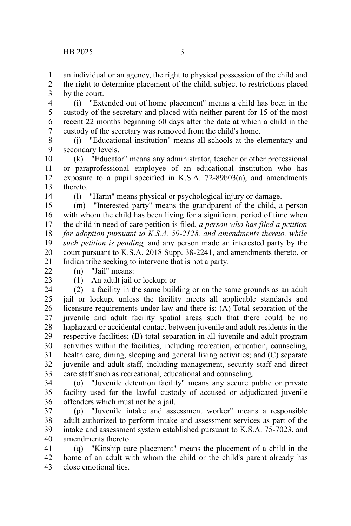an individual or an agency, the right to physical possession of the child and 1

the right to determine placement of the child, subject to restrictions placed by the court. 2 3

(i) "Extended out of home placement" means a child has been in the custody of the secretary and placed with neither parent for 15 of the most recent 22 months beginning 60 days after the date at which a child in the custody of the secretary was removed from the child's home. 4 5 6 7

(j) "Educational institution" means all schools at the elementary and secondary levels. 8 9

(k) "Educator" means any administrator, teacher or other professional or paraprofessional employee of an educational institution who has exposure to a pupil specified in K.S.A. 72-89b03(a), and amendments thereto. 10 11 12 13

14

(l) "Harm" means physical or psychological injury or damage.

(m) "Interested party" means the grandparent of the child, a person with whom the child has been living for a significant period of time when the child in need of care petition is filed, *a person who has filed a petition for adoption pursuant to K.S.A. 59-2128, and amendments thereto, while such petition is pending,* and any person made an interested party by the court pursuant to K.S.A. 2018 Supp. 38-2241, and amendments thereto, or Indian tribe seeking to intervene that is not a party. 15 16 17 18 19 20 21

(n) "Jail" means:  $22$ 

23

(1) An adult jail or lockup; or

(2) a facility in the same building or on the same grounds as an adult jail or lockup, unless the facility meets all applicable standards and licensure requirements under law and there is: (A) Total separation of the juvenile and adult facility spatial areas such that there could be no haphazard or accidental contact between juvenile and adult residents in the respective facilities; (B) total separation in all juvenile and adult program activities within the facilities, including recreation, education, counseling, health care, dining, sleeping and general living activities; and (C) separate juvenile and adult staff, including management, security staff and direct care staff such as recreational, educational and counseling. 24 25 26 27 28 29 30 31 32 33

(o) "Juvenile detention facility" means any secure public or private facility used for the lawful custody of accused or adjudicated juvenile offenders which must not be a jail. 34 35 36

(p) "Juvenile intake and assessment worker" means a responsible adult authorized to perform intake and assessment services as part of the intake and assessment system established pursuant to K.S.A. 75-7023, and amendments thereto. 37 38 39 40

(q) "Kinship care placement" means the placement of a child in the home of an adult with whom the child or the child's parent already has close emotional ties. 41 42 43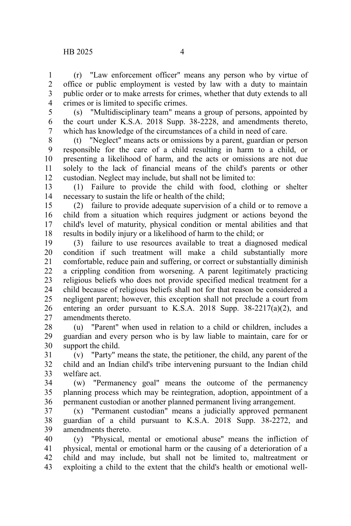(r) "Law enforcement officer" means any person who by virtue of office or public employment is vested by law with a duty to maintain public order or to make arrests for crimes, whether that duty extends to all crimes or is limited to specific crimes. 1  $\mathcal{L}$ 3 4

(s) "Multidisciplinary team" means a group of persons, appointed by the court under K.S.A. 2018 Supp. 38-2228, and amendments thereto, which has knowledge of the circumstances of a child in need of care. 5 6 7

(t) "Neglect" means acts or omissions by a parent, guardian or person responsible for the care of a child resulting in harm to a child, or presenting a likelihood of harm, and the acts or omissions are not due solely to the lack of financial means of the child's parents or other custodian. Neglect may include, but shall not be limited to: 8 9 10 11 12

(1) Failure to provide the child with food, clothing or shelter necessary to sustain the life or health of the child; 13 14

(2) failure to provide adequate supervision of a child or to remove a child from a situation which requires judgment or actions beyond the child's level of maturity, physical condition or mental abilities and that results in bodily injury or a likelihood of harm to the child; or 15 16 17 18

(3) failure to use resources available to treat a diagnosed medical condition if such treatment will make a child substantially more comfortable, reduce pain and suffering, or correct or substantially diminish a crippling condition from worsening. A parent legitimately practicing religious beliefs who does not provide specified medical treatment for a child because of religious beliefs shall not for that reason be considered a negligent parent; however, this exception shall not preclude a court from entering an order pursuant to K.S.A. 2018 Supp.  $38-2217(a)(2)$ , and amendments thereto. 19 20 21 22 23 24 25 26 27

(u) "Parent" when used in relation to a child or children, includes a guardian and every person who is by law liable to maintain, care for or support the child. 28 29 30

(v) "Party" means the state, the petitioner, the child, any parent of the child and an Indian child's tribe intervening pursuant to the Indian child welfare act. 31 32 33

(w) "Permanency goal" means the outcome of the permanency planning process which may be reintegration, adoption, appointment of a permanent custodian or another planned permanent living arrangement. 34 35 36

(x) "Permanent custodian" means a judicially approved permanent guardian of a child pursuant to K.S.A. 2018 Supp. 38-2272, and amendments thereto. 37 38 39

(y) "Physical, mental or emotional abuse" means the infliction of physical, mental or emotional harm or the causing of a deterioration of a child and may include, but shall not be limited to, maltreatment or exploiting a child to the extent that the child's health or emotional well-40 41 42 43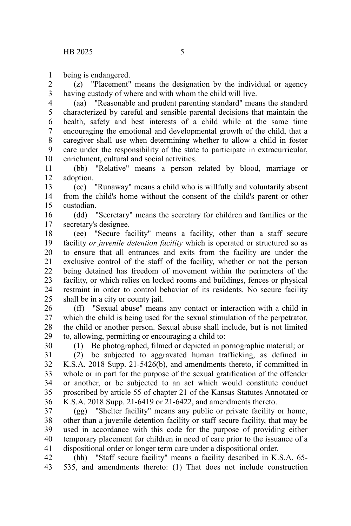being is endangered. 1

(z) "Placement" means the designation by the individual or agency having custody of where and with whom the child will live. 2 3

(aa) "Reasonable and prudent parenting standard" means the standard characterized by careful and sensible parental decisions that maintain the health, safety and best interests of a child while at the same time encouraging the emotional and developmental growth of the child, that a caregiver shall use when determining whether to allow a child in foster care under the responsibility of the state to participate in extracurricular, enrichment, cultural and social activities. 4 5 6 7 8 9 10

(bb) "Relative" means a person related by blood, marriage or adoption. 11 12

(cc) "Runaway" means a child who is willfully and voluntarily absent from the child's home without the consent of the child's parent or other custodian. 13 14 15

(dd) "Secretary" means the secretary for children and families or the secretary's designee. 16 17

(ee) "Secure facility" means a facility, other than a staff secure facility *or juvenile detention facility* which is operated or structured so as to ensure that all entrances and exits from the facility are under the exclusive control of the staff of the facility, whether or not the person being detained has freedom of movement within the perimeters of the facility, or which relies on locked rooms and buildings, fences or physical restraint in order to control behavior of its residents. No secure facility shall be in a city or county jail. 18 19 20 21 22 23 24 25

(ff) "Sexual abuse" means any contact or interaction with a child in which the child is being used for the sexual stimulation of the perpetrator, the child or another person. Sexual abuse shall include, but is not limited to, allowing, permitting or encouraging a child to: 26 27 28 29

30

(1) Be photographed, filmed or depicted in pornographic material; or

(2) be subjected to aggravated human trafficking, as defined in K.S.A. 2018 Supp. 21-5426(b), and amendments thereto, if committed in whole or in part for the purpose of the sexual gratification of the offender or another, or be subjected to an act which would constitute conduct proscribed by article 55 of chapter 21 of the Kansas Statutes Annotated or K.S.A. 2018 Supp. 21-6419 or 21-6422, and amendments thereto. 31 32 33 34 35 36

(gg) "Shelter facility" means any public or private facility or home, other than a juvenile detention facility or staff secure facility, that may be used in accordance with this code for the purpose of providing either temporary placement for children in need of care prior to the issuance of a dispositional order or longer term care under a dispositional order. 37 38 39 40 41

(hh) "Staff secure facility" means a facility described in K.S.A. 65- 535, and amendments thereto: (1) That does not include construction 42 43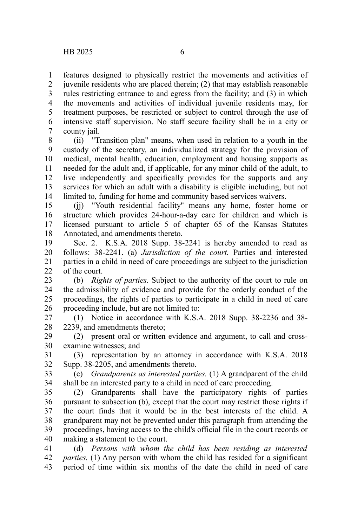features designed to physically restrict the movements and activities of juvenile residents who are placed therein; (2) that may establish reasonable rules restricting entrance to and egress from the facility; and (3) in which the movements and activities of individual juvenile residents may, for treatment purposes, be restricted or subject to control through the use of intensive staff supervision. No staff secure facility shall be in a city or county jail. 1 2 3 4 5 6 7

(ii) "Transition plan" means, when used in relation to a youth in the custody of the secretary, an individualized strategy for the provision of medical, mental health, education, employment and housing supports as needed for the adult and, if applicable, for any minor child of the adult, to live independently and specifically provides for the supports and any services for which an adult with a disability is eligible including, but not limited to, funding for home and community based services waivers. 8 9 10 11 12 13 14

(jj) "Youth residential facility" means any home, foster home or structure which provides 24-hour-a-day care for children and which is licensed pursuant to article 5 of chapter 65 of the Kansas Statutes Annotated, and amendments thereto. 15 16 17 18

Sec. 2. K.S.A. 2018 Supp. 38-2241 is hereby amended to read as follows: 38-2241. (a) *Jurisdiction of the court.* Parties and interested parties in a child in need of care proceedings are subject to the jurisdiction of the court. 19 20 21  $22$ 

(b) *Rights of parties.* Subject to the authority of the court to rule on the admissibility of evidence and provide for the orderly conduct of the proceedings, the rights of parties to participate in a child in need of care proceeding include, but are not limited to: 23 24 25 26

(1) Notice in accordance with K.S.A. 2018 Supp. 38-2236 and 38- 2239, and amendments thereto; 27 28

(2) present oral or written evidence and argument, to call and crossexamine witnesses; and 29 30

(3) representation by an attorney in accordance with K.S.A. 2018 Supp. 38-2205, and amendments thereto. 31 32

(c) *Grandparents as interested parties.* (1) A grandparent of the child shall be an interested party to a child in need of care proceeding. 33 34

(2) Grandparents shall have the participatory rights of parties pursuant to subsection (b), except that the court may restrict those rights if the court finds that it would be in the best interests of the child. A grandparent may not be prevented under this paragraph from attending the proceedings, having access to the child's official file in the court records or making a statement to the court. 35 36 37 38 39 40

(d) *Persons with whom the child has been residing as interested parties.* (1) Any person with whom the child has resided for a significant period of time within six months of the date the child in need of care 41 42 43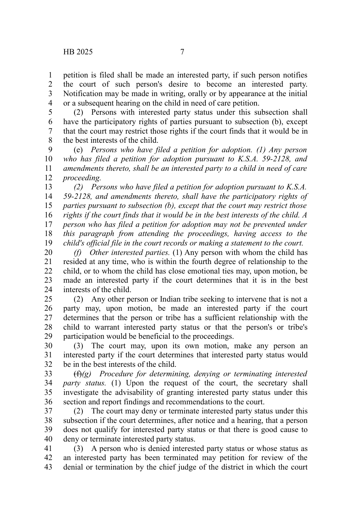petition is filed shall be made an interested party, if such person notifies the court of such person's desire to become an interested party. Notification may be made in writing, orally or by appearance at the initial or a subsequent hearing on the child in need of care petition. 1 2 3 4

(2) Persons with interested party status under this subsection shall have the participatory rights of parties pursuant to subsection (b), except that the court may restrict those rights if the court finds that it would be in the best interests of the child. 5 6 7 8

(e) *Persons who have filed a petition for adoption. (1) Any person who has filed a petition for adoption pursuant to K.S.A. 59-2128, and amendments thereto, shall be an interested party to a child in need of care proceeding.* 9 10 11 12

*(2) Persons who have filed a petition for adoption pursuant to K.S.A. 59-2128, and amendments thereto, shall have the participatory rights of parties pursuant to subsection (b), except that the court may restrict those rights if the court finds that it would be in the best interests of the child. A person who has filed a petition for adoption may not be prevented under this paragraph from attending the proceedings, having access to the child's official file in the court records or making a statement to the court.* 13 14 15 16 17 18 19

*(f) Other interested parties.* (1) Any person with whom the child has resided at any time, who is within the fourth degree of relationship to the child, or to whom the child has close emotional ties may, upon motion, be made an interested party if the court determines that it is in the best interests of the child. 20 21 22 23 24

(2) Any other person or Indian tribe seeking to intervene that is not a party may, upon motion, be made an interested party if the court determines that the person or tribe has a sufficient relationship with the child to warrant interested party status or that the person's or tribe's participation would be beneficial to the proceedings. 25 26 27 28 29

(3) The court may, upon its own motion, make any person an interested party if the court determines that interested party status would be in the best interests of the child. 30 31 32

(f)*(g) Procedure for determining, denying or terminating interested party status.* (1) Upon the request of the court, the secretary shall investigate the advisability of granting interested party status under this section and report findings and recommendations to the court. 33 34 35 36

(2) The court may deny or terminate interested party status under this subsection if the court determines, after notice and a hearing, that a person does not qualify for interested party status or that there is good cause to deny or terminate interested party status. 37 38 39 40

(3) A person who is denied interested party status or whose status as an interested party has been terminated may petition for review of the denial or termination by the chief judge of the district in which the court 41 42 43